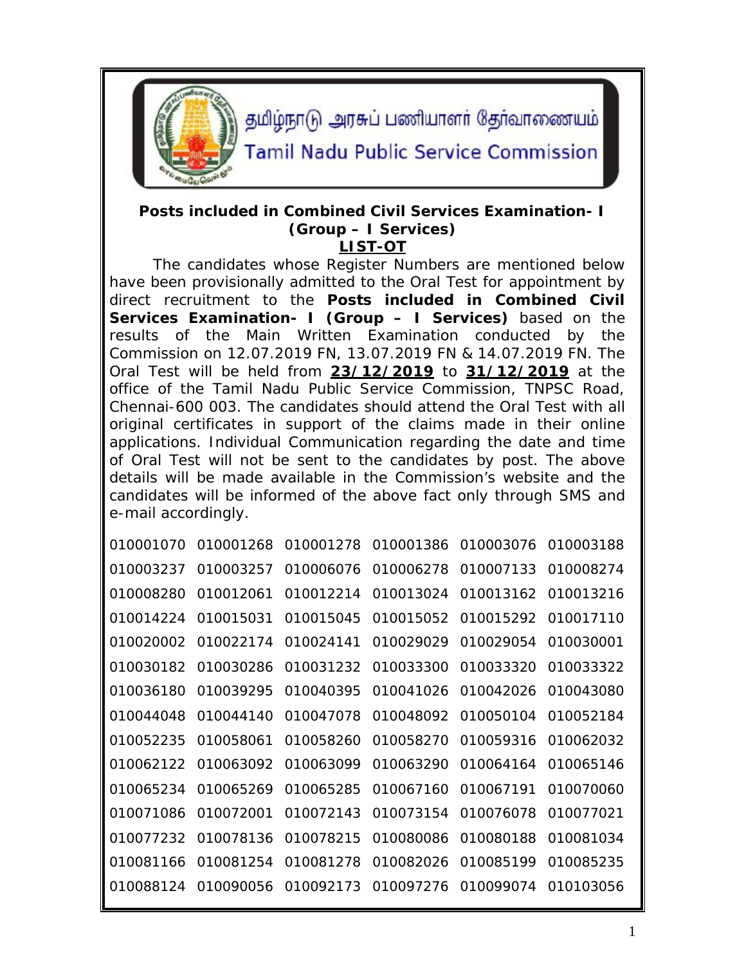

தமிழ்நாடு அரசுப் பணியாளர் தேர்வாணையம்

**Tamil Nadu Public Service Commission** 

## **Posts included in Combined Civil Services Examination- I (Group – I Services) LIST-OT**

The candidates whose Register Numbers are mentioned below have been provisionally admitted to the Oral Test for appointment by direct recruitment to the **Posts included in Combined Civil Services Examination- I (Group – I Services)** based on the results of the Main Written Examination conducted by the Commission on 12.07.2019 FN, 13.07.2019 FN & 14.07.2019 FN. The Oral Test will be held from **23/12/2019** to **31/12/2019** at the office of the Tamil Nadu Public Service Commission, TNPSC Road, Chennai-600 003. The candidates should attend the Oral Test with all original certificates in support of the claims made in their online applications. Individual Communication regarding the date and time of Oral Test will not be sent to the candidates by post. The above details will be made available in the Commission's website and the candidates will be informed of the above fact only through SMS and e-mail accordingly.

| 010001070           | 010001268                     | 010001278 | 010001386 | 010003076           | 010003188 |
|---------------------|-------------------------------|-----------|-----------|---------------------|-----------|
| 010003237           | 010003257                     | 010006076 | 010006278 | 010007133           | 010008274 |
| 010008280           | 010012061                     | 010012214 | 010013024 | 010013162 010013216 |           |
| 010014224 010015031 |                               | 010015045 | 010015052 | 010015292 010017110 |           |
| 010020002           | 010022174                     | 010024141 | 010029029 | 010029054 010030001 |           |
| 010030182           | 010030286                     | 010031232 | 010033300 | 010033320 010033322 |           |
| 010036180           | 010039295                     | 010040395 | 010041026 | 010042026 010043080 |           |
| 010044048           | 010044140                     | 010047078 | 010048092 | 010050104 010052184 |           |
| 010052235           | 010058061                     | 010058260 | 010058270 | 010059316           | 010062032 |
|                     | 010062122 010063092           | 010063099 | 010063290 | 010064164           | 010065146 |
| 010065234           | 010065269                     | 010065285 | 010067160 | 010067191           | 010070060 |
| 010071086 010072001 |                               | 010072143 | 010073154 | 010076078           | 010077021 |
| 010077232           | 010078136                     | 010078215 | 010080086 | 010080188           | 010081034 |
|                     | 010081166 010081254 010081278 |           | 010082026 | 010085199           | 010085235 |
| 010088124           | 010090056                     | 010092173 | 010097276 | 010099074           | 010103056 |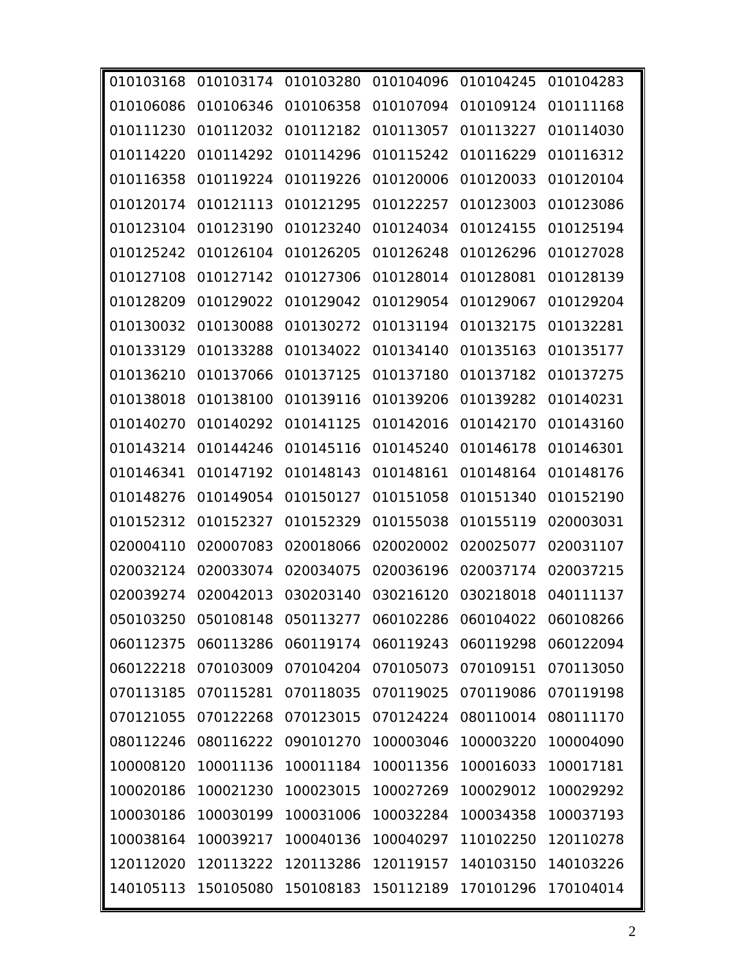| 010103168 | 010103174 010103280 |                     | 010104096 | 010104245                     | 010104283 |
|-----------|---------------------|---------------------|-----------|-------------------------------|-----------|
| 010106086 | 010106346           | 010106358           | 010107094 | 010109124                     | 010111168 |
| 010111230 | 010112032           | 010112182           | 010113057 | 010113227                     | 010114030 |
| 010114220 | 010114292           | 010114296           | 010115242 | 010116229                     | 010116312 |
| 010116358 | 010119224           | 010119226           | 010120006 | 010120033                     | 010120104 |
| 010120174 | 010121113           | 010121295           | 010122257 | 010123003                     | 010123086 |
| 010123104 | 010123190           | 010123240           | 010124034 | 010124155                     | 010125194 |
| 010125242 | 010126104           | 010126205           | 010126248 | 010126296                     | 010127028 |
| 010127108 | 010127142           | 010127306           | 010128014 | 010128081                     | 010128139 |
| 010128209 | 010129022           | 010129042           | 010129054 | 010129067                     | 010129204 |
| 010130032 | 010130088           | 010130272           | 010131194 | 010132175                     | 010132281 |
| 010133129 | 010133288           | 010134022           | 010134140 | 010135163                     | 010135177 |
| 010136210 | 010137066           | 010137125           | 010137180 | 010137182                     | 010137275 |
| 010138018 | 010138100           | 010139116           | 010139206 | 010139282                     | 010140231 |
| 010140270 | 010140292           | 010141125           | 010142016 | 010142170                     | 010143160 |
| 010143214 | 010144246           | 010145116           | 010145240 | 010146178                     | 010146301 |
| 010146341 | 010147192           | 010148143           | 010148161 | 010148164                     | 010148176 |
| 010148276 | 010149054           | 010150127           | 010151058 | 010151340                     | 010152190 |
| 010152312 | 010152327           | 010152329           | 010155038 | 010155119                     | 020003031 |
| 020004110 | 020007083           | 020018066           | 020020002 | 020025077                     | 020031107 |
| 020032124 | 020033074           | 020034075           | 020036196 | 020037174                     | 020037215 |
| 020039274 | 020042013           | 030203140           | 030216120 | 030218018                     | 040111137 |
| 050103250 |                     | 050108148 050113277 | 060102286 | 060104022                     | 060108266 |
| 060112375 | 060113286           | 060119174           | 060119243 | 060119298                     | 060122094 |
| 060122218 | 070103009           | 070104204           | 070105073 | 070109151                     | 070113050 |
| 070113185 | 070115281           | 070118035           | 070119025 | 070119086                     | 070119198 |
| 070121055 | 070122268           | 070123015           | 070124224 | 080110014                     | 080111170 |
| 080112246 | 080116222           | 090101270           | 100003046 | 100003220                     | 100004090 |
| 100008120 | 100011136           | 100011184           | 100011356 | 100016033                     | 100017181 |
| 100020186 | 100021230           | 100023015           | 100027269 | 100029012                     | 100029292 |
| 100030186 | 100030199           | 100031006           | 100032284 | 100034358                     | 100037193 |
| 100038164 | 100039217           | 100040136           | 100040297 | 110102250                     | 120110278 |
| 120112020 | 120113222           | 120113286           | 120119157 | 140103150                     | 140103226 |
| 140105113 | 150105080           | 150108183           |           | 150112189 170101296 170104014 |           |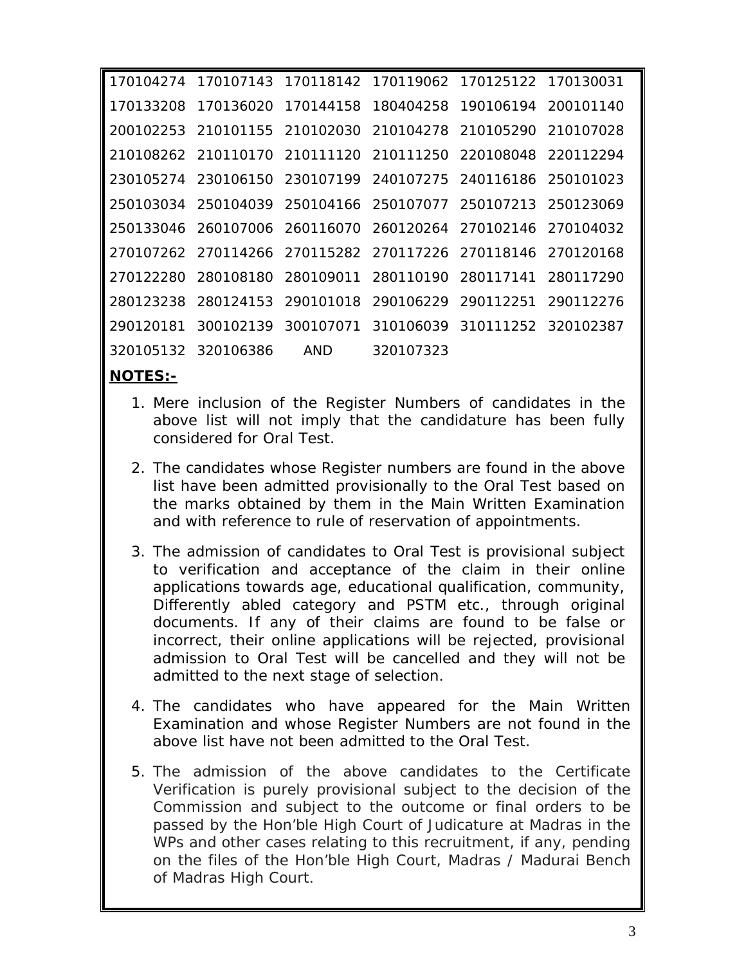|           |                     |     | 170104274 170107143 170118142 170119062 170125122 170130031 |  |
|-----------|---------------------|-----|-------------------------------------------------------------|--|
|           |                     |     |                                                             |  |
|           |                     |     | 200102253 210101155 210102030 210104278 210105290 210107028 |  |
|           |                     |     | 210108262 210110170 210111120 210111250 220108048 220112294 |  |
|           |                     |     | 230105274 230106150 230107199 240107275 240116186 250101023 |  |
|           |                     |     | 250103034 250104039 250104166 250107077 250107213 250123069 |  |
|           |                     |     | 250133046 260107006 260116070 260120264 270102146 270104032 |  |
|           |                     |     | 270107262 270114266 270115282 270117226 270118146 270120168 |  |
|           |                     |     | 270122280 280108180 280109011 280110190 280117141 280117290 |  |
|           |                     |     | 280123238 280124153 290101018 290106229 290112251 290112276 |  |
| 290120181 | 300102139           |     | 300107071 310106039 310111252 320102387                     |  |
|           | 320105132 320106386 | AND | 320107323                                                   |  |
|           |                     |     |                                                             |  |

## **NOTES:-**

- 1. Mere inclusion of the Register Numbers of candidates in the above list will not imply that the candidature has been fully considered for Oral Test.
- 2. The candidates whose Register numbers are found in the above list have been admitted provisionally to the Oral Test based on the marks obtained by them in the Main Written Examination and with reference to rule of reservation of appointments.
- 3. The admission of candidates to Oral Test is provisional subject to verification and acceptance of the claim in their online applications towards age, educational qualification, community, Differently abled category and PSTM etc., through original documents. If any of their claims are found to be false or incorrect, their online applications will be rejected, provisional admission to Oral Test will be cancelled and they will not be admitted to the next stage of selection.
- 4. The candidates who have appeared for the Main Written Examination and whose Register Numbers are not found in the above list have not been admitted to the Oral Test.
- 5. The admission of the above candidates to the Certificate Verification is purely provisional subject to the decision of the Commission and subject to the outcome or final orders to be passed by the Hon'ble High Court of Judicature at Madras in the WPs and other cases relating to this recruitment, if any, pending on the files of the Hon'ble High Court, Madras / Madurai Bench of Madras High Court.